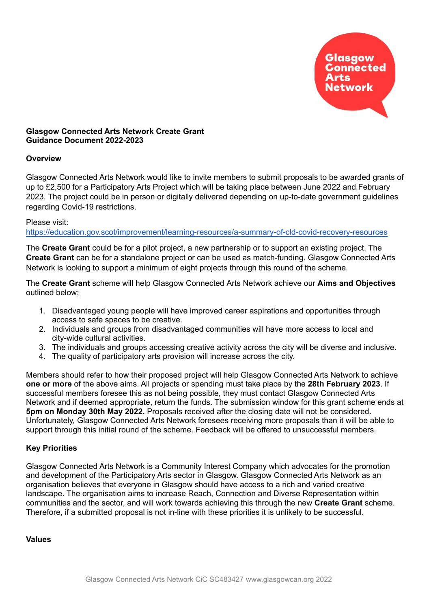

## **Glasgow Connected Arts Network Create Grant Guidance Document 2022-2023**

## **Overview**

Glasgow Connected Arts Network would like to invite members to submit proposals to be awarded grants of up to £2,500 for a Participatory Arts Project which will be taking place between June 2022 and February 2023. The project could be in person or digitally delivered depending on up-to-date government guidelines regarding Covid-19 restrictions.

#### Please visit:

[https://education.gov.scot/improvement/learning-resources/a-summary-of-cld-covid-recovery-resources](https://education.gov.scot/improvement/learning-resources/a-summary-of-cld-covid-recovery-resources/)

The **Create Grant** could be for a pilot project, a new partnership or to support an existing project. The **Create Grant** can be for a standalone project or can be used as match-funding. Glasgow Connected Arts Network is looking to support a minimum of eight projects through this round of the scheme.

The **Create Grant** scheme will help Glasgow Connected Arts Network achieve our **Aims and Objectives** outlined below;

- 1. Disadvantaged young people will have improved career aspirations and opportunities through access to safe spaces to be creative.
- 2. Individuals and groups from disadvantaged communities will have more access to local and city-wide cultural activities.
- 3. The individuals and groups accessing creative activity across the city will be diverse and inclusive.
- 4. The quality of participatory arts provision will increase across the city.

Members should refer to how their proposed project will help Glasgow Connected Arts Network to achieve **one or more** of the above aims. All projects or spending must take place by the **28th February 2023**. If successful members foresee this as not being possible, they must contact Glasgow Connected Arts Network and if deemed appropriate, return the funds. The submission window for this grant scheme ends at **5pm on Monday 30th May 2022.** Proposals received after the closing date will not be considered. Unfortunately, Glasgow Connected Arts Network foresees receiving more proposals than it will be able to support through this initial round of the scheme. Feedback will be offered to unsuccessful members.

## **Key Priorities**

Glasgow Connected Arts Network is a Community Interest Company which advocates for the promotion and development of the Participatory Arts sector in Glasgow. Glasgow Connected Arts Network as an organisation believes that everyone in Glasgow should have access to a rich and varied creative landscape. The organisation aims to increase Reach, Connection and Diverse Representation within communities and the sector, and will work towards achieving this through the new **Create Grant** scheme. Therefore, if a submitted proposal is not in-line with these priorities it is unlikely to be successful.

#### **Values**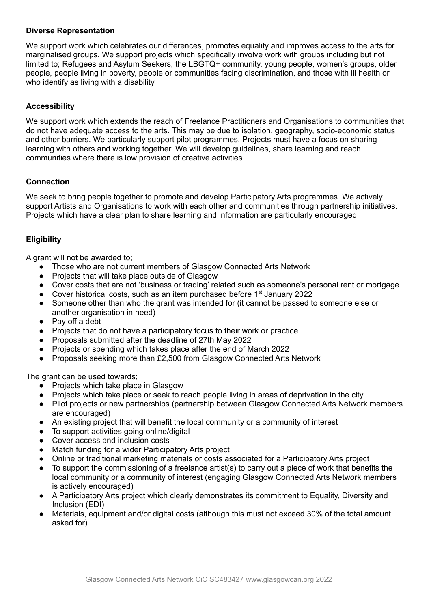## **Diverse Representation**

We support work which celebrates our differences, promotes equality and improves access to the arts for marginalised groups. We support projects which specifically involve work with groups including but not limited to; Refugees and Asylum Seekers, the LBGTQ+ community, young people, women's groups, older people, people living in poverty, people or communities facing discrimination, and those with ill health or who identify as living with a disability.

# **Accessibility**

We support work which extends the reach of Freelance Practitioners and Organisations to communities that do not have adequate access to the arts. This may be due to isolation, geography, socio-economic status and other barriers. We particularly support pilot programmes. Projects must have a focus on sharing learning with others and working together. We will develop guidelines, share learning and reach communities where there is low provision of creative activities.

## **Connection**

We seek to bring people together to promote and develop Participatory Arts programmes. We actively support Artists and Organisations to work with each other and communities through partnership initiatives. Projects which have a clear plan to share learning and information are particularly encouraged.

## **Eligibility**

A grant will not be awarded to;

- Those who are not current members of Glasgow Connected Arts Network
- Projects that will take place outside of Glasgow
- Cover costs that are not 'business or trading' related such as someone's personal rent or mortgage
- Cover historical costs, such as an item purchased before 1<sup>st</sup> January 2022
- Someone other than who the grant was intended for (it cannot be passed to someone else or another organisation in need)
- Pay off a debt
- Projects that do not have a participatory focus to their work or practice
- Proposals submitted after the deadline of 27th May 2022
- Projects or spending which takes place after the end of March 2022
- Proposals seeking more than £2,500 from Glasgow Connected Arts Network

The grant can be used towards:

- Projects which take place in Glasgow
- Projects which take place or seek to reach people living in areas of deprivation in the city
- Pilot projects or new partnerships (partnership between Glasgow Connected Arts Network members are encouraged)
- An existing project that will benefit the local community or a community of interest
- To support activities going online/digital
- Cover access and inclusion costs
- Match funding for a wider Participatory Arts project
- Online or traditional marketing materials or costs associated for a Participatory Arts project
- To support the commissioning of a freelance artist(s) to carry out a piece of work that benefits the local community or a community of interest (engaging Glasgow Connected Arts Network members is actively encouraged)
- A Participatory Arts project which clearly demonstrates its commitment to Equality, Diversity and Inclusion (EDI)
- Materials, equipment and/or digital costs (although this must not exceed 30% of the total amount asked for)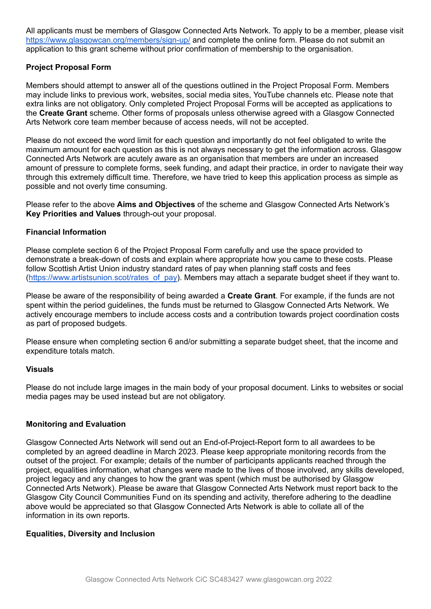All applicants must be members of Glasgow Connected Arts Network. To apply to be a member, please visit <https://www.glasgowcan.org/members/sign-up/> and complete the online form. Please do not submit an application to this grant scheme without prior confirmation of membership to the organisation.

## **Project Proposal Form**

Members should attempt to answer all of the questions outlined in the Project Proposal Form. Members may include links to previous work, websites, social media sites, YouTube channels etc. Please note that extra links are not obligatory. Only completed Project Proposal Forms will be accepted as applications to the **Create Grant** scheme. Other forms of proposals unless otherwise agreed with a Glasgow Connected Arts Network core team member because of access needs, will not be accepted.

Please do not exceed the word limit for each question and importantly do not feel obligated to write the maximum amount for each question as this is not always necessary to get the information across. Glasgow Connected Arts Network are acutely aware as an organisation that members are under an increased amount of pressure to complete forms, seek funding, and adapt their practice, in order to navigate their way through this extremely difficult time. Therefore, we have tried to keep this application process as simple as possible and not overly time consuming.

Please refer to the above **Aims and Objectives** of the scheme and Glasgow Connected Arts Network's **Key Priorities and Values** through-out your proposal.

## **Financial Information**

Please complete section 6 of the Project Proposal Form carefully and use the space provided to demonstrate a break-down of costs and explain where appropriate how you came to these costs. Please follow Scottish Artist Union industry standard rates of pay when planning staff costs and fees ([https://www.artistsunion.scot/rates\\_of\\_pay\)](https://www.artistsunion.scot/rates_of_pay). Members may attach a separate budget sheet if they want to.

Please be aware of the responsibility of being awarded a **Create Grant**. For example, if the funds are not spent within the period guidelines, the funds must be returned to Glasgow Connected Arts Network. We actively encourage members to include access costs and a contribution towards project coordination costs as part of proposed budgets.

Please ensure when completing section 6 and/or submitting a separate budget sheet, that the income and expenditure totals match.

#### **Visuals**

Please do not include large images in the main body of your proposal document. Links to websites or social media pages may be used instead but are not obligatory.

#### **Monitoring and Evaluation**

Glasgow Connected Arts Network will send out an End-of-Project-Report form to all awardees to be completed by an agreed deadline in March 2023. Please keep appropriate monitoring records from the outset of the project. For example; details of the number of participants applicants reached through the project, equalities information, what changes were made to the lives of those involved, any skills developed, project legacy and any changes to how the grant was spent (which must be authorised by Glasgow Connected Arts Network). Please be aware that Glasgow Connected Arts Network must report back to the Glasgow City Council Communities Fund on its spending and activity, therefore adhering to the deadline above would be appreciated so that Glasgow Connected Arts Network is able to collate all of the information in its own reports.

#### **Equalities, Diversity and Inclusion**